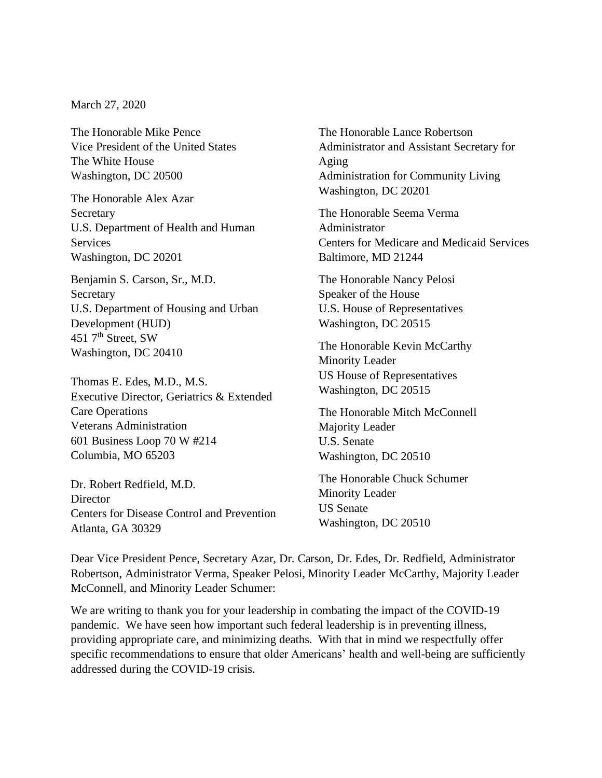March 27, 2020

The Honorable Mike Pence Vice President of the United States The White House Washington, DC 20500

The Honorable Alex Azar Secretary U.S. Department of Health and Human Services Washington, DC 20201

Benjamin S. Carson, Sr., M.D. Secretary U.S. Department of Housing and Urban Development (HUD) 451 7<sup>th</sup> Street, SW Washington, DC 20410

Thomas E. Edes, M.D., M.S. Executive Director, Geriatrics & Extended Care Operations Veterans Administration 601 Business Loop 70 W #214 Columbia, MO 65203

Dr. Robert Redfield, M.D. **Director** Centers for Disease Control and Prevention Atlanta, GA 30329

The Honorable Lance Robertson Administrator and Assistant Secretary for Aging Administration for Community Living Washington, DC 20201

The Honorable Seema Verma Administrator Centers for Medicare and Medicaid Services Baltimore, MD 21244

The Honorable Nancy Pelosi Speaker of the House U.S. House of Representatives Washington, DC 20515

The Honorable Kevin McCarthy Minority Leader US House of Representatives Washington, DC 20515

The Honorable Mitch McConnell Majority Leader U.S. Senate Washington, DC 20510

The Honorable Chuck Schumer Minority Leader US Senate Washington, DC 20510

Dear Vice President Pence, Secretary Azar, Dr. Carson, Dr. Edes, Dr. Redfield, Administrator Robertson, Administrator Verma, Speaker Pelosi, Minority Leader McCarthy, Majority Leader McConnell, and Minority Leader Schumer:

We are writing to thank you for your leadership in combating the impact of the COVID-19 pandemic. We have seen how important such federal leadership is in preventing illness, providing appropriate care, and minimizing deaths. With that in mind we respectfully offer specific recommendations to ensure that older Americans' health and well-being are sufficiently addressed during the COVID-19 crisis.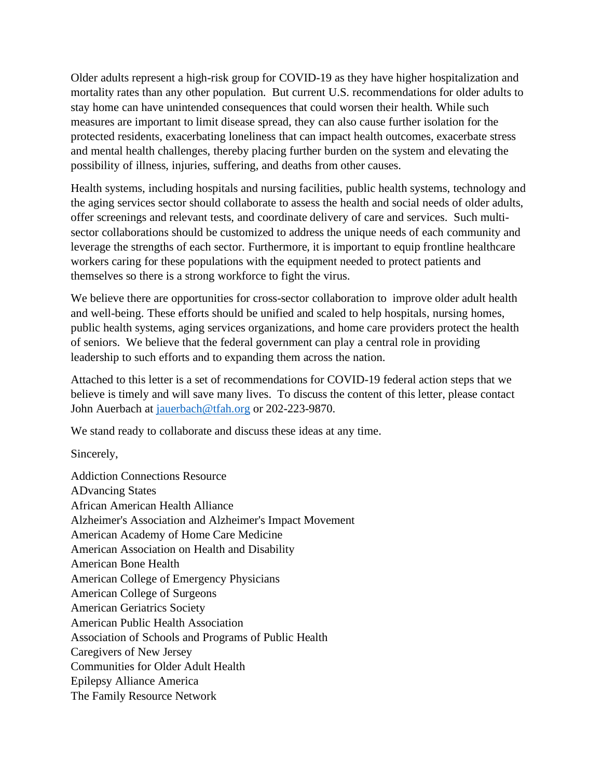Older adults represent a high-risk group for COVID-19 as they have higher hospitalization and mortality rates than any other population. But current U.S. recommendations for older adults to stay home can have unintended consequences that could worsen their health. While such measures are important to limit disease spread, they can also cause further isolation for the protected residents, exacerbating loneliness that can impact health outcomes, exacerbate stress and mental health challenges, thereby placing further burden on the system and elevating the possibility of illness, injuries, suffering, and deaths from other causes.

Health systems, including hospitals and nursing facilities, public health systems, technology and the aging services sector should collaborate to assess the health and social needs of older adults, offer screenings and relevant tests, and coordinate delivery of care and services. Such multisector collaborations should be customized to address the unique needs of each community and leverage the strengths of each sector. Furthermore, it is important to equip frontline healthcare workers caring for these populations with the equipment needed to protect patients and themselves so there is a strong workforce to fight the virus.

We believe there are opportunities for cross-sector collaboration to improve older adult health and well-being. These efforts should be unified and scaled to help hospitals, nursing homes, public health systems, aging services organizations, and home care providers protect the health of seniors. We believe that the federal government can play a central role in providing leadership to such efforts and to expanding them across the nation.

Attached to this letter is a set of recommendations for COVID-19 federal action steps that we believe is timely and will save many lives. To discuss the content of this letter, please contact John Auerbach at [jauerbach@tfah.org](mailto:jauerbach@tfah.org) or 202-223-9870.

We stand ready to collaborate and discuss these ideas at any time.

Sincerely,

Addiction Connections Resource ADvancing States African American Health Alliance Alzheimer's Association and Alzheimer's Impact Movement American Academy of Home Care Medicine American Association on Health and Disability American Bone Health American College of Emergency Physicians American College of Surgeons American Geriatrics Society American Public Health Association Association of Schools and Programs of Public Health Caregivers of New Jersey Communities for Older Adult Health Epilepsy Alliance America The Family Resource Network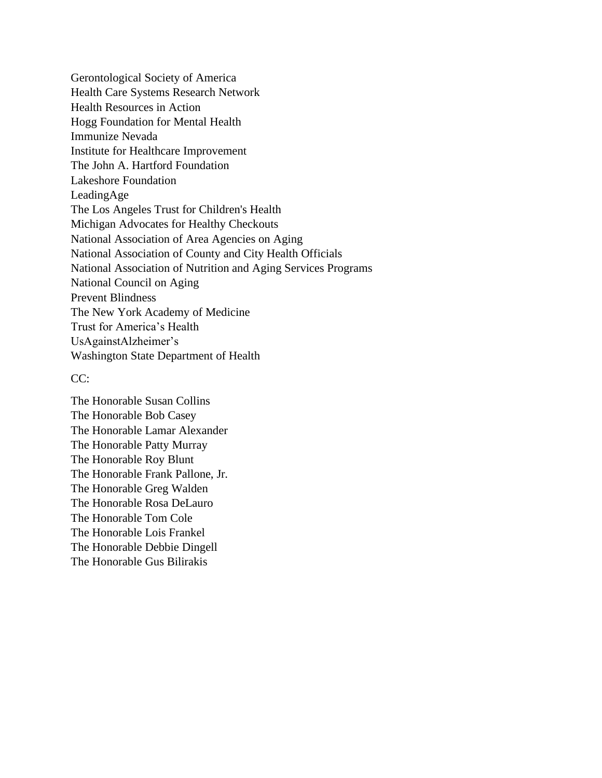Gerontological Society of America Health Care Systems Research Network Health Resources in Action Hogg Foundation for Mental Health Immunize Nevada Institute for Healthcare Improvement The John A. Hartford Foundation Lakeshore Foundation LeadingAge The Los Angeles Trust for Children's Health Michigan Advocates for Healthy Checkouts National Association of Area Agencies on Aging National Association of County and City Health Officials National Association of Nutrition and Aging Services Programs National Council on Aging Prevent Blindness The New York Academy of Medicine Trust for America's Health UsAgainstAlzheimer's Washington State Department of Health

## CC:

The Honorable Susan Collins The Honorable Bob Casey The Honorable Lamar Alexander The Honorable Patty Murray The Honorable Roy Blunt The Honorable Frank Pallone, Jr. The Honorable Greg Walden The Honorable Rosa DeLauro The Honorable Tom Cole The Honorable Lois Frankel The Honorable Debbie Dingell The Honorable Gus Bilirakis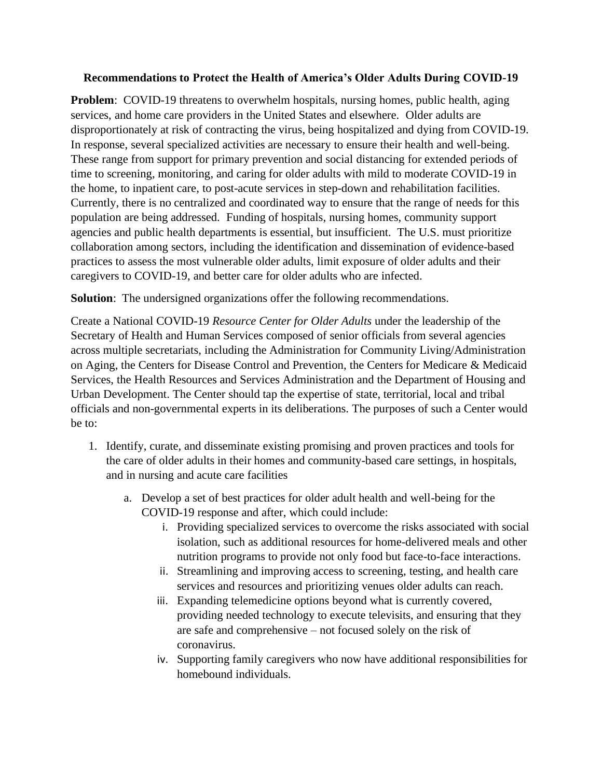## **Recommendations to Protect the Health of America's Older Adults During COVID-19**

**Problem**: COVID-19 threatens to overwhelm hospitals, nursing homes, public health, aging services, and home care providers in the United States and elsewhere. Older adults are disproportionately at risk of contracting the virus, being hospitalized and dying from COVID-19. In response, several specialized activities are necessary to ensure their health and well-being. These range from support for primary prevention and social distancing for extended periods of time to screening, monitoring, and caring for older adults with mild to moderate COVID-19 in the home, to inpatient care, to post-acute services in step-down and rehabilitation facilities. Currently, there is no centralized and coordinated way to ensure that the range of needs for this population are being addressed. Funding of hospitals, nursing homes, community support agencies and public health departments is essential, but insufficient. The U.S. must prioritize collaboration among sectors, including the identification and dissemination of evidence-based practices to assess the most vulnerable older adults, limit exposure of older adults and their caregivers to COVID-19, and better care for older adults who are infected.

**Solution**: The undersigned organizations offer the following recommendations.

Create a National COVID-19 *Resource Center for Older Adults* under the leadership of the Secretary of Health and Human Services composed of senior officials from several agencies across multiple secretariats, including the Administration for Community Living/Administration on Aging, the Centers for Disease Control and Prevention, the Centers for Medicare & Medicaid Services, the Health Resources and Services Administration and the Department of Housing and Urban Development. The Center should tap the expertise of state, territorial, local and tribal officials and non-governmental experts in its deliberations. The purposes of such a Center would be to:

- 1. Identify, curate, and disseminate existing promising and proven practices and tools for the care of older adults in their homes and community-based care settings, in hospitals, and in nursing and acute care facilities
	- a. Develop a set of best practices for older adult health and well-being for the COVID-19 response and after, which could include:
		- i. Providing specialized services to overcome the risks associated with social isolation, such as additional resources for home-delivered meals and other nutrition programs to provide not only food but face-to-face interactions.
		- ii. Streamlining and improving access to screening, testing, and health care services and resources and prioritizing venues older adults can reach.
		- iii. Expanding telemedicine options beyond what is currently covered, providing needed technology to execute televisits, and ensuring that they are safe and comprehensive – not focused solely on the risk of coronavirus.
		- iv. Supporting family caregivers who now have additional responsibilities for homebound individuals.